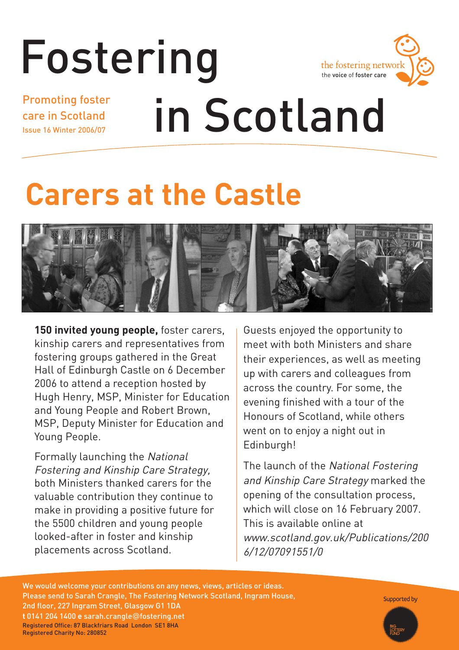### Fostering the fostering network the voice of foster care Promoting foster in Scotland care in Scotland Issue 16 Winter 2006/07

## **Carers at the Castle**



**150 invited young people,** foster carers, kinship carers and representatives from fostering groups gathered in the Great Hall of Edinburgh Castle on 6 December 2006 to attend a reception hosted by Hugh Henry, MSP, Minister for Education and Young People and Robert Brown, MSP, Deputy Minister for Education and Young People.

Formally launching the National Fostering and Kinship Care Strategy, both Ministers thanked carers for the valuable contribution they continue to make in providing a positive future for the 5500 children and young people looked-after in foster and kinship placements across Scotland.

Guests enjoyed the opportunity to meet with both Ministers and share their experiences, as well as meeting up with carers and colleagues from across the country. For some, the evening finished with a tour of the Honours of Scotland, while others went on to enjoy a night out in Edinburgh!

The launch of the National Fostering and Kinship Care Strategy marked the opening of the consultation process, which will close on 16 February 2007. This is available online at www.scotland.gov.uk/Publications/200 6/12/07091551/0

We would welcome your contributions on any news, views, articles or ideas. Please send to Sarah Crangle, The Fostering Network Scotland, Ingram House, 2nd floor, 227 Ingram Street, Glasgow G1 1DA **t** 0141 204 1400 **e** sarah.crangle@fostering.net Registered Office: 87 Blackfriars Road London SE1 8HA Registered Charity No: 280852

Supported by

Fostering in Scotland **1**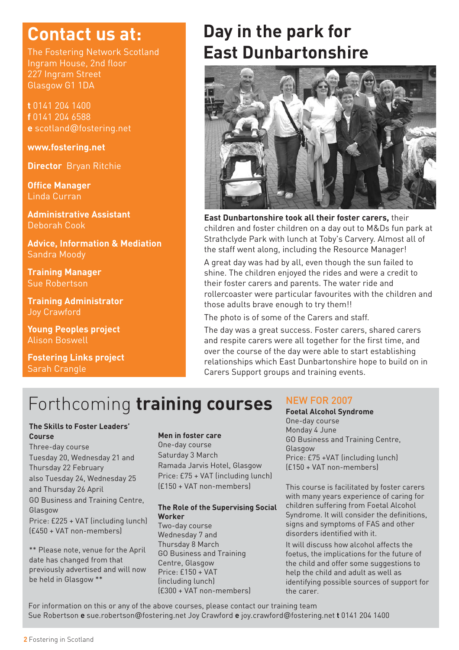## **Contact us at:**

The Fostering Network Scotland Ingram House, 2nd floor 227 Ingram Street Glasgow G1 1DA

**t** 0141 204 1400 **f** 0141 204 6588 **e** scotland@fostering.net

**www.fostering.net**

**Director** Bryan Ritchie

**Office Manager** Linda Curran

**Administrative Assistant**  Deborah Cook

**Advice, Information & Mediation**  Sandra Moody

**Training Manager** Sue Robertson

**Training Administrator**  Joy Crawford

**Young Peoples project** Alison Boswell

**Fostering Links project** Sarah Crangle

## **Day in the park for East Dunbartonshire**



**East Dunbartonshire took all their foster carers,** their children and foster children on a day out to M&Ds fun park at Strathclyde Park with lunch at Toby's Carvery. Almost all of the staff went along, including the Resource Manager!

A great day was had by all, even though the sun failed to shine. The children enjoyed the rides and were a credit to their foster carers and parents. The water ride and rollercoaster were particular favourites with the children and those adults brave enough to try them!!

The photo is of some of the Carers and staff.

The day was a great success. Foster carers, shared carers and respite carers were all together for the first time, and over the course of the day were able to start establishing relationships which East Dunbartonshire hope to build on in Carers Support groups and training events.

## Forthcoming **training courses** NEW FOR 2007

#### **The Skills to Foster Leaders' Course**

#### Three-day course Tuesday 20, Wednesday 21 and Thursday 22 February also Tuesday 24, Wednesday 25 and Thursday 26 April GO Business and Training Centre, Glasgow Price: £225 + VAT (including lunch) (£450 + VAT non-members)

\*\* Please note, venue for the April date has changed from that previously advertised and will now be held in Glasgow \*\*

#### **Men in foster care**

One-day course Saturday 3 March Ramada Jarvis Hotel, Glasgow Price: £75 + VAT (including lunch) (£150 + VAT non-members)

#### **The Role of the Supervising Social Worker**

Two-day course Wednesday 7 and Thursday 8 March GO Business and Training Centre, Glasgow Price: £150 + VAT (including lunch) (£300 + VAT non-members)

**Foetal Alcohol Syndrome** One-day course Monday 4 June GO Business and Training Centre, Glasgow Price: £75 +VAT (including lunch) (£150 + VAT non-members)

This course is facilitated by foster carers with many years experience of caring for children suffering from Foetal Alcohol Syndrome. It will consider the definitions, signs and symptoms of FAS and other disorders identified with it.

It will discuss how alcohol affects the foetus, the implications for the future of the child and offer some suggestions to help the child and adult as well as identifying possible sources of support for the carer.

For information on this or any of the above courses, please contact our training team Sue Robertson **e** sue.robertson@fostering.net Joy Crawford **e** joy.crawford@fostering.net **t** 0141 204 1400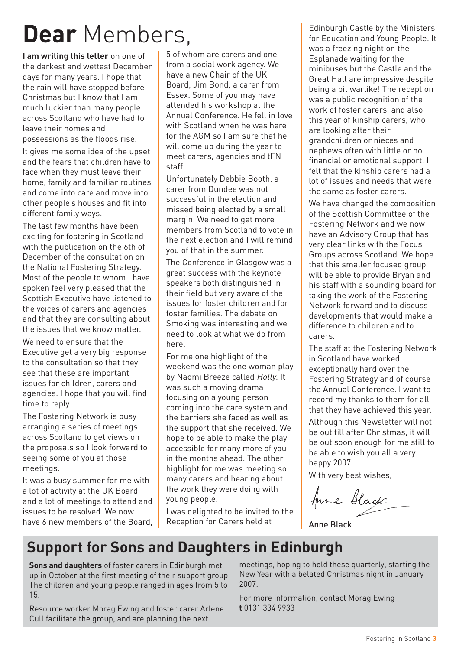## **Dear** Members,

**I am writing this letter** on one of the darkest and wettest December days for many years. I hope that the rain will have stopped before Christmas but I know that I am much luckier than many people across Scotland who have had to leave their homes and possessions as the floods rise.

It gives me some idea of the upset and the fears that children have to face when they must leave their home, family and familiar routines and come into care and move into other people's houses and fit into different family ways.

The last few months have been exciting for fostering in Scotland with the publication on the 6th of December of the consultation on the National Fostering Strategy. Most of the people to whom I have spoken feel very pleased that the Scottish Executive have listened to the voices of carers and agencies and that they are consulting about the issues that we know matter.

We need to ensure that the Executive get a very big response to the consultation so that they see that these are important issues for children, carers and agencies. I hope that you will find time to reply.

The Fostering Network is busy arranging a series of meetings across Scotland to get views on the proposals so I look forward to seeing some of you at those meetings.

It was a busy summer for me with a lot of activity at the UK Board and a lot of meetings to attend and issues to be resolved. We now have 6 new members of the Board.

5 of whom are carers and one from a social work agency. We have a new Chair of the UK Board, Jim Bond, a carer from Essex. Some of you may have attended his workshop at the Annual Conference. He fell in love with Scotland when he was here for the AGM so I am sure that he will come up during the year to meet carers, agencies and tFN staff.

Unfortunately Debbie Booth, a carer from Dundee was not successful in the election and missed being elected by a small margin. We need to get more members from Scotland to vote in the next election and I will remind you of that in the summer.

The Conference in Glasgow was a great success with the keynote speakers both distinguished in their field but very aware of the issues for foster children and for foster families. The debate on Smoking was interesting and we need to look at what we do from here.

For me one highlight of the weekend was the one woman play by Naomi Breeze called Holly. It was such a moving drama focusing on a young person coming into the care system and the barriers she faced as well as the support that she received. We hope to be able to make the play accessible for many more of you in the months ahead. The other highlight for me was meeting so many carers and hearing about the work they were doing with young people.

I was delighted to be invited to the Reception for Carers held at

Edinburgh Castle by the Ministers for Education and Young People. It was a freezing night on the Esplanade waiting for the minibuses but the Castle and the Great Hall are impressive despite being a bit warlike! The reception was a public recognition of the work of foster carers, and also this year of kinship carers, who are looking after their grandchildren or nieces and nephews often with little or no financial or emotional support. I felt that the kinship carers had a lot of issues and needs that were the same as foster carers.

We have changed the composition of the Scottish Committee of the Fostering Network and we now have an Advisory Group that has very clear links with the Focus Groups across Scotland. We hope that this smaller focused group will be able to provide Bryan and his staff with a sounding board for taking the work of the Fostering Network forward and to discuss developments that would make a difference to children and to carers.

The staff at the Fostering Network in Scotland have worked exceptionally hard over the Fostering Strategy and of course the Annual Conference. I want to record my thanks to them for all that they have achieved this year. Although this Newsletter will not be out till after Christmas, it will be out soon enough for me still to be able to wish you all a very happy 2007.

With very best wishes,

Anne Black

Anne Black

### **Support for Sons and Daughters in Edinburgh**

**Sons and daughters** of foster carers in Edinburgh met up in October at the first meeting of their support group. The children and young people ranged in ages from 5 to 15.

Resource worker Morag Ewing and foster carer Arlene Cull facilitate the group, and are planning the next

meetings, hoping to hold these quarterly, starting the New Year with a belated Christmas night in January 2007.

For more information, contact Morag Ewing **t** 0131 334 9933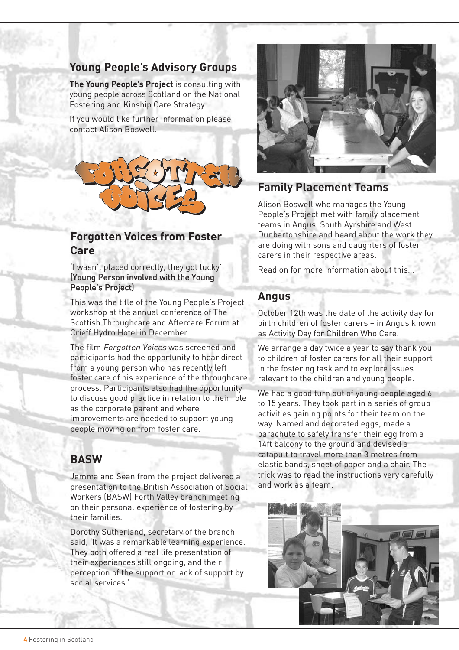#### **Young People's Advisory Groups**

**The Young People's Project** is consulting with young people across Scotland on the National Fostering and Kinship Care Strategy.

If you would like further information please contact Alison Boswell.



#### **Forgotten Voices from Foster Care**

'I wasn't placed correctly, they got lucky' (Young Person involved with the Young People's Project)

This was the title of the Young People's Project workshop at the annual conference of The Scottish Throughcare and Aftercare Forum at Crieff Hydro Hotel in December.

The film Forgotten Voices was screened and participants had the opportunity to hear direct from a young person who has recently left foster care of his experience of the throughcare process. Participants also had the opportunity to discuss good practice in relation to their role as the corporate parent and where improvements are needed to support young people moving on from foster care.

#### **BASW**

Jemma and Sean from the project delivered a presentation to the British Association of Social Workers (BASW) Forth Valley branch meeting on their personal experience of fostering by their families.

Dorothy Sutherland, secretary of the branch said, 'It was a remarkable learning experience. They both offered a real life presentation of their experiences still ongoing, and their perception of the support or lack of support by social services.'



#### **Family Placement Teams**

Alison Boswell who manages the Young People's Project met with family placement teams in Angus, South Ayrshire and West Dunbartonshire and heard about the work they are doing with sons and daughters of foster carers in their respective areas.

Read on for more information about this…

#### **Angus**

October 12th was the date of the activity day for birth children of foster carers – in Angus known as Activity Day for Children Who Care.

We arrange a day twice a year to say thank you to children of foster carers for all their support in the fostering task and to explore issues relevant to the children and young people.

We had a good turn out of young people aged 6 to 15 years. They took part in a series of group activities gaining points for their team on the way. Named and decorated eggs, made a parachute to safely transfer their egg from a 14ft balcony to the ground and devised a catapult to travel more than 3 metres from elastic bands, sheet of paper and a chair. The trick was to read the instructions very carefully and work as a team.

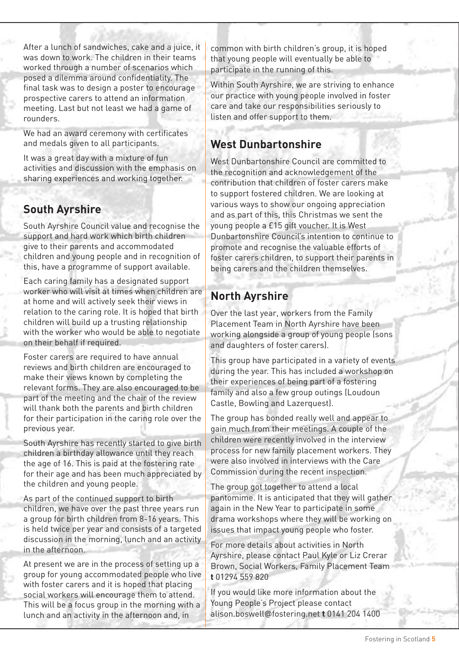After a lunch of sandwiches, cake and a juice, it was down to work. The children in their teams worked through a number of scenarios which posed a dilemma around confidentiality. The final task was to design a poster to encourage prospective carers to attend an information meeting. Last but not least we had a game of rounders.

We had an award ceremony with certificates and medals given to all participants.

It was a great day with a mixture of fun activities and discussion with the emphasis on sharing experiences and working together.

#### **South Ayrshire**

South Ayrshire Council value and recognise the support and hard work which birth children give to their parents and accommodated children and young people and in recognition of this, have a programme of support available.

Each caring family has a designated support worker who will visit at times when children are at home and will actively seek their views in relation to the caring role. It is hoped that birth children will build up a trusting relationship with the worker who would be able to negotiate on their behalf if required.

Foster carers are required to have annual reviews and birth children are encouraged to make their views known by completing the relevant forms. They are also encouraged to be part of the meeting and the chair of the review will thank both the parents and birth children for their participation in the caring role over the previous year.

South Ayrshire has recently started to give birth children a birthday allowance until they reach the age of 16. This is paid at the fostering rate for their age and has been much appreciated by the children and young people.

As part of the continued support to birth children, we have over the past three years run a group for birth children from 8-16 years. This is held twice per year and consists of a targeted discussion in the morning, lunch and an activity in the afternoon.

At present we are in the process of setting up a group for young accommodated people who live with foster carers and it is hoped that placing social workers will encourage them to attend. This will be a focus group in the morning with a lunch and an activity in the afternoon and, in

common with birth children's group, it is hoped that young people will eventually be able to participate in the running of this.

Within South Ayrshire, we are striving to enhance our practice with young people involved in foster care and take our responsibilities seriously to listen and offer support to them.

#### **West Dunbartonshire**

West Dunbartonshire Council are committed to the recognition and acknowledgement of the contribution that children of foster carers make to support fostered children. We are looking at various ways to show our ongoing appreciation and as part of this, this Christmas we sent the young people a £15 gift voucher. It is West Dunbartonshire Council's intention to continue to promote and recognise the valuable efforts of foster carers children, to support their parents in being carers and the children themselves.

#### **North Ayrshire**

Over the last year, workers from the Family Placement Team in North Ayrshire have been working alongside a group of young people (sons and daughters of foster carers).

This group have participated in a variety of events during the year. This has included a workshop on their experiences of being part of a fostering family and also a few group outings (Loudoun Castle, Bowling and Lazerquest).

The group has bonded really well and appear to gain much from their meetings. A couple of the children were recently involved in the interview process for new family placement workers. They were also involved in interviews with the Care Commission during the recent inspection.

The group got together to attend a local pantomime. It is anticipated that they will gather again in the New Year to participate in some drama workshops where they will be working on issues that impact young people who foster.

For more details about activities in North Ayrshire, please contact Paul Kyle or Liz Crerar Brown, Social Workers, Family Placement Team **t** 01294 559 820

If you would like more information about the Young People's Project please contact alison.boswell@fostering.net **t** 0141 204 1400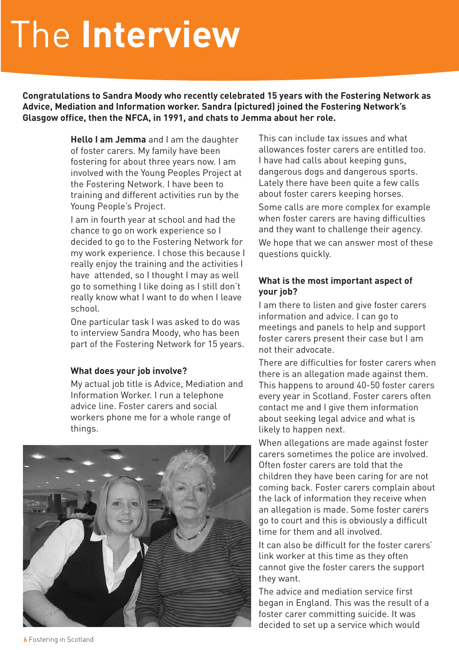# The **Interview**

**Congratulations to Sandra Moody who recently celebrated 15 years with the Fostering Network as Advice, Mediation and Information worker. Sandra (pictured) joined the Fostering Network's Glasgow office, then the NFCA, in 1991, and chats to Jemma about her role.**

> **Hello I am Jemma** and I am the daughter of foster carers. My family have been fostering for about three years now. I am involved with the Young Peoples Project at the Fostering Network. I have been to training and different activities run by the Young People's Project.

I am in fourth year at school and had the chance to go on work experience so I decided to go to the Fostering Network for my work experience. I chose this because I really enjoy the training and the activities I have attended, so I thought I may as well go to something I like doing as I still don't really know what I want to do when I leave school.

One particular task I was asked to do was to interview Sandra Moody, who has been part of the Fostering Network for 15 years.

#### **What does your job involve?**

My actual job title is Advice, Mediation and Information Worker. I run a telephone advice line. Foster carers and social workers phone me for a whole range of things.



This can include tax issues and what allowances foster carers are entitled too. I have had calls about keeping guns, dangerous dogs and dangerous sports. Lately there have been quite a few calls about foster carers keeping horses. Some calls are more complex for example when foster carers are having difficulties

and they want to challenge their agency. We hope that we can answer most of these questions quickly.

#### **What is the most important aspect of your job?**

I am there to listen and give foster carers information and advice. I can go to meetings and panels to help and support foster carers present their case but I am not their advocate.

There are difficulties for foster carers when there is an allegation made against them. This happens to around 40-50 foster carers every year in Scotland. Foster carers often contact me and I give them information about seeking legal advice and what is likely to happen next.

When allegations are made against foster carers sometimes the police are involved. Often foster carers are told that the children they have been caring for are not coming back. Foster carers complain about the lack of information they receive when an allegation is made. Some foster carers go to court and this is obviously a difficult time for them and all involved.

It can also be difficult for the foster carers' link worker at this time as they often cannot give the foster carers the support they want.

The advice and mediation service first began in England. This was the result of a foster carer committing suicide. It was decided to set up a service which would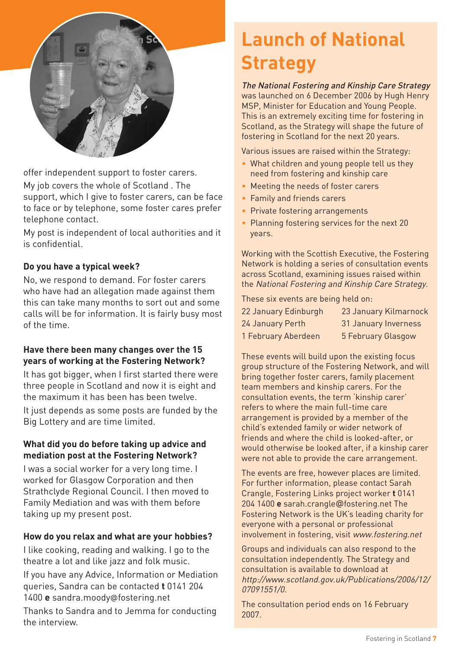

offer independent support to foster carers.

My job covers the whole of Scotland . The support, which I give to foster carers, can be face to face or by telephone, some foster cares prefer telephone contact.

My post is independent of local authorities and it is confidential.

#### **Do you have a typical week?**

No, we respond to demand. For foster carers who have had an allegation made against them this can take many months to sort out and some calls will be for information. It is fairly busy most of the time.

#### **Have there been many changes over the 15 years of working at the Fostering Network?**

It has got bigger, when I first started there were three people in Scotland and now it is eight and the maximum it has been has been twelve.

It just depends as some posts are funded by the Big Lottery and are time limited.

#### **What did you do before taking up advice and mediation post at the Fostering Network?**

I was a social worker for a very long time. I worked for Glasgow Corporation and then Strathclyde Regional Council. I then moved to Family Mediation and was with them before taking up my present post.

#### **How do you relax and what are your hobbies?**

I like cooking, reading and walking. I go to the theatre a lot and like jazz and folk music. If you have any Advice, Information or Mediation queries, Sandra can be contacted **t** 0141 204 1400 **e** sandra.moody@fostering.net Thanks to Sandra and to Jemma for conducting the interview.

## **Launch of National Strategy**

The National Fostering and Kinship Care Strategy was launched on 6 December 2006 by Hugh Henry MSP, Minister for Education and Young People. This is an extremely exciting time for fostering in Scotland, as the Strategy will shape the future of fostering in Scotland for the next 20 years.

Various issues are raised within the Strategy:

- What children and young people tell us they need from fostering and kinship care
- Meeting the needs of foster carers
- Family and friends carers
- Private fostering arrangements
- Planning fostering services for the next 20 years.

Working with the Scottish Executive, the Fostering Network is holding a series of consultation events across Scotland, examining issues raised within the National Fostering and Kinship Care Strategy.

These six events are being held on:

| 22 January Edinburgh | 23 January Kilmarnock |
|----------------------|-----------------------|
| 24 January Perth     | 31 January Inverness  |
| 1 February Aberdeen  | 5 February Glasgow    |

These events will build upon the existing focus group structure of the Fostering Network, and will bring together foster carers, family placement team members and kinship carers. For the consultation events, the term 'kinship carer' refers to where the main full-time care arrangement is provided by a member of the child's extended family or wider network of friends and where the child is looked-after, or would otherwise be looked after, if a kinship carer were not able to provide the care arrangement.

The events are free, however places are limited. For further information, please contact Sarah Crangle, Fostering Links project worker **t** 0141 204 1400 **e** sarah.crangle@fostering.net The Fostering Network is the UK's leading charity for everyone with a personal or professional involvement in fostering, visit www.fostering.net

Groups and individuals can also respond to the consultation independently. The Strategy and consultation is available to download at http://www.scotland.gov.uk/Publications/2006/12/ 07091551/0.

The consultation period ends on 16 February 2007.